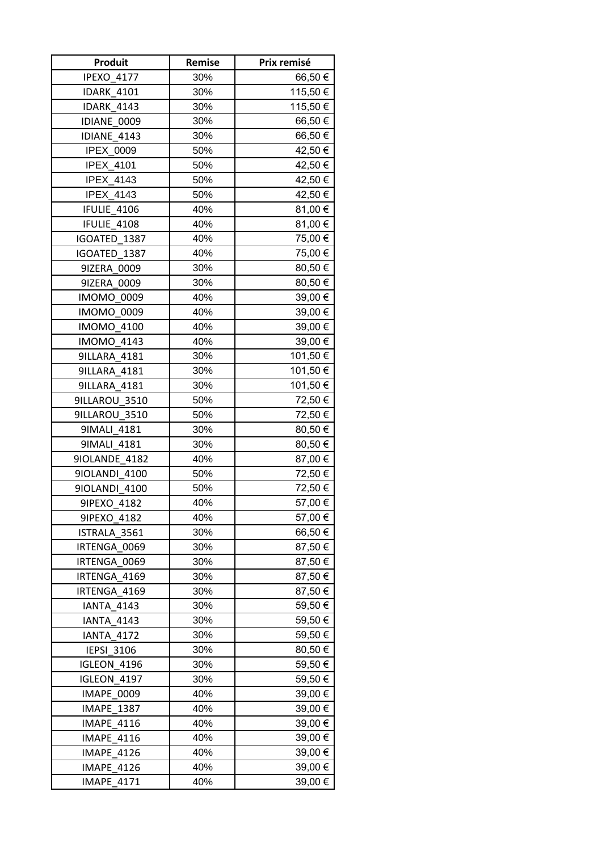| Produit           | Remise | Prix remisé |
|-------------------|--------|-------------|
| <b>IPEXO 4177</b> | 30%    | 66,50€      |
| <b>IDARK 4101</b> | 30%    | 115,50€     |
| <b>IDARK 4143</b> | 30%    | 115,50€     |
| IDIANE 0009       | 30%    | 66,50€      |
| IDIANE 4143       | 30%    | 66,50€      |
| IPEX_0009         | 50%    | 42,50 €     |
| <b>IPEX 4101</b>  | 50%    | 42,50 €     |
| IPEX_4143         | 50%    | 42,50 €     |
| IPEX_4143         | 50%    | 42,50 €     |
| IFULIE 4106       | 40%    | 81,00€      |
| IFULIE 4108       | 40%    | 81,00 €     |
| IGOATED 1387      | 40%    | 75,00 €     |
| IGOATED 1387      | 40%    | 75,00 €     |
| 9IZERA 0009       | 30%    | 80,50€      |
| 9IZERA 0009       | 30%    | 80,50€      |
| <b>IMOMO 0009</b> | 40%    | 39,00 €     |
| <b>IMOMO 0009</b> | 40%    | 39,00€      |
| <b>IMOMO 4100</b> | 40%    | 39,00 €     |
| <b>IMOMO 4143</b> | 40%    | 39,00 €     |
| 9ILLARA_4181      | 30%    | 101,50 €    |
| 9ILLARA 4181      | 30%    | 101,50 €    |
| 9ILLARA 4181      | 30%    | 101,50€     |
| 9ILLAROU 3510     | 50%    | 72,50 €     |
| 9ILLAROU_3510     | 50%    | 72,50 €     |
| 91MALI 4181       | 30%    | 80,50€      |
| 91MALI 4181       | 30%    | 80,50 €     |
| 9IOLANDE 4182     | 40%    | 87,00 €     |
| 9IOLANDI 4100     | 50%    | 72,50€      |
| 9IOLANDI 4100     | 50%    | 72,50€      |
| 9IPEXO_4182       | 40%    | 57,00 €     |
| 9IPEXO 4182       | 40%    | 57,00 €     |
| ISTRALA 3561      | 30%    | 66,50€      |
| IRTENGA 0069      | 30%    | 87,50€      |
| IRTENGA 0069      | 30%    | 87,50€      |
| IRTENGA 4169      | 30%    | 87,50€      |
| IRTENGA 4169      | 30%    | 87,50€      |
| <b>IANTA 4143</b> | 30%    | 59,50€      |
| <b>IANTA 4143</b> | 30%    | 59,50 €     |
| <b>IANTA 4172</b> | 30%    | 59,50 €     |
| <b>IEPSI 3106</b> | 30%    | 80,50 €     |
| IGLEON 4196       | 30%    | 59,50€      |
| IGLEON 4197       | 30%    | 59,50€      |
| IMAPE 0009        | 40%    | 39,00 €     |
| <b>IMAPE 1387</b> | 40%    | 39,00 €     |
| <b>IMAPE 4116</b> | 40%    | 39,00 €     |
| IMAPE_4116        | 40%    | 39,00 €     |
| <b>IMAPE 4126</b> | 40%    | 39,00 €     |
| <b>IMAPE 4126</b> | 40%    | 39,00 €     |
| <b>IMAPE 4171</b> | 40%    | 39,00 €     |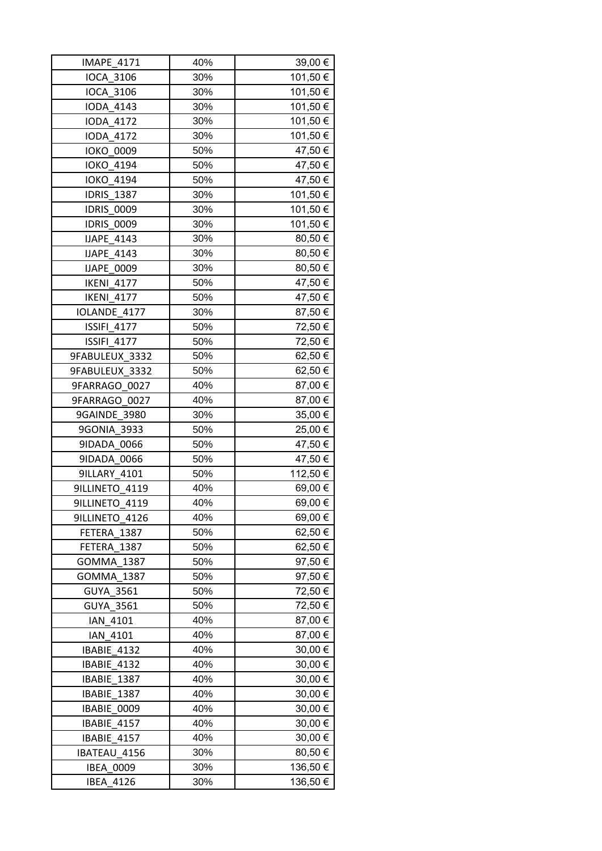| IMAPE_4171         | 40% | 39,00 €  |
|--------------------|-----|----------|
| <b>IOCA 3106</b>   | 30% | 101,50€  |
| <b>IOCA 3106</b>   | 30% | 101,50 € |
| <b>IODA 4143</b>   | 30% | 101,50 € |
| <b>IODA 4172</b>   | 30% | 101,50 € |
| <b>IODA 4172</b>   | 30% | 101,50€  |
| <b>IOKO 0009</b>   | 50% | 47,50 €  |
| <b>IOKO 4194</b>   | 50% | 47,50 €  |
| <b>IOKO 4194</b>   | 50% | 47,50 €  |
| <b>IDRIS_1387</b>  | 30% | 101,50 € |
| <b>IDRIS_0009</b>  | 30% | 101,50€  |
| <b>IDRIS 0009</b>  | 30% | 101,50 € |
| <b>IJAPE 4143</b>  | 30% | 80,50€   |
| IJAPE_4143         | 30% | 80,50€   |
| <b>IJAPE 0009</b>  | 30% | 80,50 €  |
| <b>IKENI 4177</b>  | 50% | 47,50€   |
| <b>IKENI 4177</b>  | 50% | 47,50 €  |
| IOLANDE 4177       | 30% | 87,50€   |
| <b>ISSIFI 4177</b> | 50% | 72,50 €  |
| <b>ISSIFI 4177</b> | 50% | 72,50€   |
| 9FABULEUX 3332     | 50% | 62,50€   |
| 9FABULEUX 3332     | 50% | 62,50€   |
| 9FARRAGO 0027      | 40% | 87,00 €  |
| 9FARRAGO 0027      | 40% | 87,00 €  |
| 9GAINDE_3980       | 30% | 35,00 €  |
| 9GONIA 3933        | 50% | 25,00€   |
| 9IDADA 0066        | 50% | 47,50 €  |
| 9IDADA 0066        | 50% | 47,50 €  |
| 9ILLARY 4101       | 50% | 112,50 € |
| 9ILLINETO 4119     | 40% | 69,00€   |
| 9ILLINETO_4119     | 40% | 69,00€   |
| 9ILLINETO 4126     | 40% | 69,00 €  |
| FETERA 1387        | 50% | 62,50€   |
| FETERA 1387        | 50% | 62,50 €  |
| <b>GOMMA 1387</b>  | 50% | 97,50€   |
| GOMMA 1387         | 50% | 97,50€   |
| <b>GUYA 3561</b>   | 50% | 72,50 €  |
| <b>GUYA 3561</b>   | 50% | 72,50 €  |
| IAN 4101           | 40% | 87,00 €  |
| IAN 4101           | 40% | 87,00 €  |
| IBABIE 4132        | 40% | 30,00 €  |
| IBABIE 4132        | 40% | 30,00€   |
| IBABIE 1387        | 40% | 30,00 €  |
| IBABIE 1387        | 40% | 30,00 €  |
| IBABIE 0009        | 40% | 30,00 €  |
| IBABIE 4157        | 40% | 30,00 €  |
| IBABIE 4157        | 40% | 30,00 €  |
| IBATEAU 4156       | 30% | 80,50€   |
| <b>IBEA 0009</b>   | 30% | 136,50€  |
| <b>IBEA 4126</b>   | 30% | 136,50€  |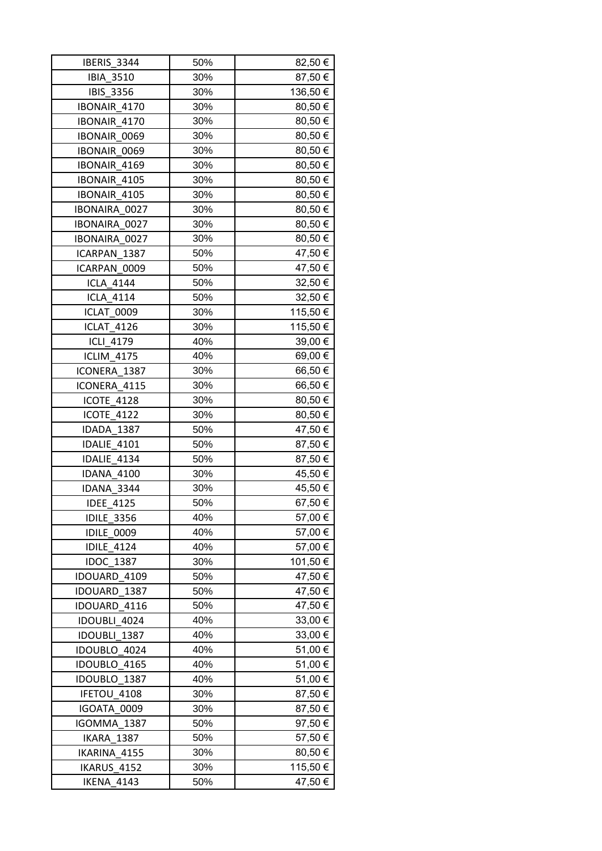| IBERIS 3344         | 50% | 82,50 €  |
|---------------------|-----|----------|
| <b>IBIA 3510</b>    | 30% | 87,50€   |
| <b>IBIS 3356</b>    | 30% | 136,50€  |
| IBONAIR 4170        | 30% | 80,50€   |
| IBONAIR 4170        | 30% | 80,50€   |
| <b>IBONAIR 0069</b> | 30% | 80,50€   |
| <b>IBONAIR 0069</b> | 30% | 80,50€   |
| IBONAIR 4169        | 30% | 80,50€   |
| IBONAIR 4105        | 30% | 80,50€   |
| IBONAIR 4105        | 30% | 80,50€   |
| IBONAIRA 0027       | 30% | 80,50€   |
| IBONAIRA 0027       | 30% | 80,50€   |
| IBONAIRA 0027       | 30% | 80,50€   |
| ICARPAN 1387        | 50% | 47,50€   |
| ICARPAN 0009        | 50% | 47,50€   |
| <b>ICLA 4144</b>    | 50% | 32,50 €  |
| <b>ICLA 4114</b>    | 50% | 32,50 €  |
| ICLAT 0009          | 30% | 115,50 € |
| <b>ICLAT 4126</b>   | 30% | 115,50€  |
| ICLI 4179           | 40% | 39,00 €  |
| <b>ICLIM 4175</b>   | 40% | 69,00€   |
| ICONERA 1387        | 30% | 66,50€   |
| ICONERA 4115        | 30% | 66,50€   |
| <b>ICOTE 4128</b>   | 30% | 80,50 €  |
| ICOTE_4122          | 30% | 80,50€   |
| IDADA 1387          | 50% | 47,50€   |
| IDALIE 4101         | 50% | 87,50 €  |
| IDALIE 4134         | 50% | 87,50€   |
| <b>IDANA 4100</b>   | 30% | 45,50€   |
| IDANA 3344          | 30% | 45,50 €  |
| <b>IDEE 4125</b>    | 50% | 67,50€   |
| <b>IDILE 3356</b>   | 40% | 57,00 €  |
| <b>IDILE 0009</b>   | 40% | 57,00 €  |
| <b>IDILE 4124</b>   | 40% | 57,00 €  |
| <b>IDOC 1387</b>    | 30% | 101,50 € |
| IDOUARD 4109        | 50% | 47,50€   |
| IDOUARD 1387        | 50% | 47,50€   |
| IDOUARD 4116        | 50% | 47,50€   |
| IDOUBLI 4024        | 40% | 33,00 €  |
| IDOUBLI 1387        | 40% | 33,00 €  |
| IDOUBLO 4024        | 40% | 51,00 €  |
| IDOUBLO 4165        | 40% | 51,00 €  |
| IDOUBLO 1387        | 40% | 51,00 €  |
| IFETOU 4108         | 30% | 87,50€   |
| IGOATA 0009         | 30% | 87,50€   |
| IGOMMA 1387         | 50% | 97,50 €  |
| IKARA 1387          | 50% | 57,50 €  |
| IKARINA 4155        | 30% | 80,50 €  |
| IKARUS 4152         | 30% | 115,50€  |
| <b>IKENA 4143</b>   | 50% | 47,50 €  |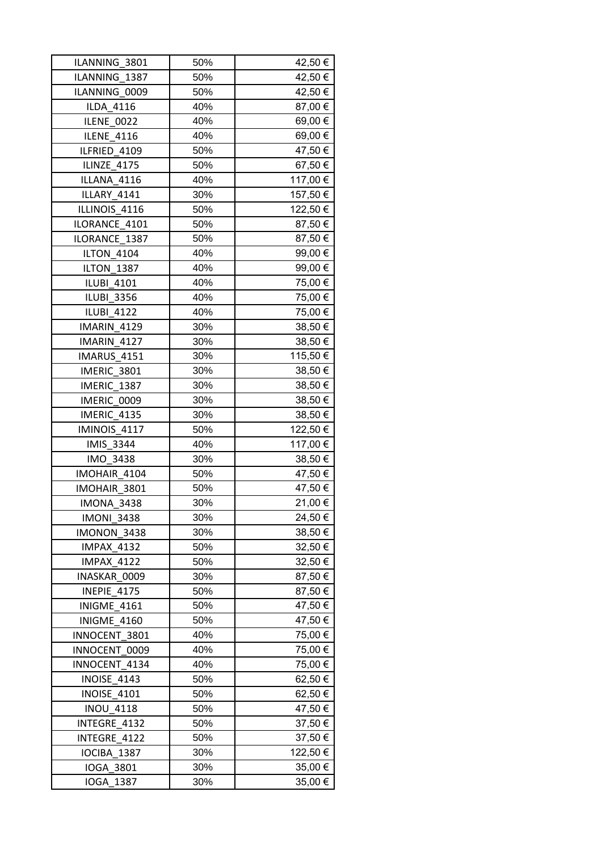| ILANNING 3801      | 50% | 42,50 €  |
|--------------------|-----|----------|
| ILANNING 1387      | 50% | 42,50€   |
| ILANNING 0009      | 50% | 42,50 €  |
| ILDA 4116          | 40% | 87,00 €  |
| ILENE 0022         | 40% | 69,00 €  |
| <b>ILENE 4116</b>  | 40% | 69,00€   |
| ILFRIED 4109       | 50% | 47,50€   |
| ILINZE 4175        | 50% | 67,50€   |
| ILLANA 4116        | 40% | 117,00€  |
| ILLARY 4141        | 30% | 157,50 € |
| ILLINOIS 4116      | 50% | 122,50€  |
| ILORANCE 4101      | 50% | 87,50€   |
| ILORANCE 1387      | 50% | 87,50€   |
| <b>ILTON 4104</b>  | 40% | 99,00 €  |
| <b>ILTON 1387</b>  | 40% | 99,00 €  |
| <b>ILUBI 4101</b>  | 40% | 75,00 €  |
| <b>ILUBI 3356</b>  | 40% | 75,00 €  |
| <b>ILUBI 4122</b>  | 40% | 75,00 €  |
| IMARIN 4129        | 30% | 38,50€   |
| IMARIN 4127        | 30% | 38,50 €  |
| IMARUS 4151        | 30% | 115,50 € |
| IMERIC 3801        | 30% | 38,50€   |
| IMERIC 1387        | 30% | 38,50 €  |
| IMERIC 0009        | 30% | 38,50 €  |
| IMERIC 4135        | 30% | 38,50 €  |
| IMINOIS 4117       | 50% | 122,50€  |
| <b>IMIS 3344</b>   | 40% | 117,00 € |
| IMO 3438           | 30% | 38,50€   |
| IMOHAIR_4104       | 50% | 47,50€   |
| IMOHAIR 3801       | 50% | 47,50 €  |
| <b>IMONA 3438</b>  | 30% | 21,00€   |
| <b>IMONI 3438</b>  | 30% | 24,50 €  |
| IMONON 3438        | 30% | 38,50€   |
| <b>IMPAX 4132</b>  | 50% | 32,50€   |
| <b>IMPAX 4122</b>  | 50% | 32,50 €  |
| INASKAR 0009       | 30% | 87,50 €  |
| INEPIE 4175        | 50% | 87,50€   |
| <b>INIGME 4161</b> | 50% | 47,50 €  |
| INIGME 4160        | 50% | 47,50 €  |
| INNOCENT 3801      | 40% | 75,00 €  |
| INNOCENT 0009      | 40% | 75,00 €  |
| INNOCENT 4134      | 40% | 75,00 €  |
| INOISE 4143        | 50% | 62,50 €  |
| <b>INOISE 4101</b> | 50% | 62,50 €  |
| <b>INOU 4118</b>   | 50% | 47,50 €  |
| INTEGRE 4132       | 50% | 37,50 €  |
| INTEGRE 4122       | 50% | 37,50 €  |
|                    |     |          |
| IOCIBA 1387        | 30% | 122,50 € |
| IOGA 3801          | 30% | 35,00 €  |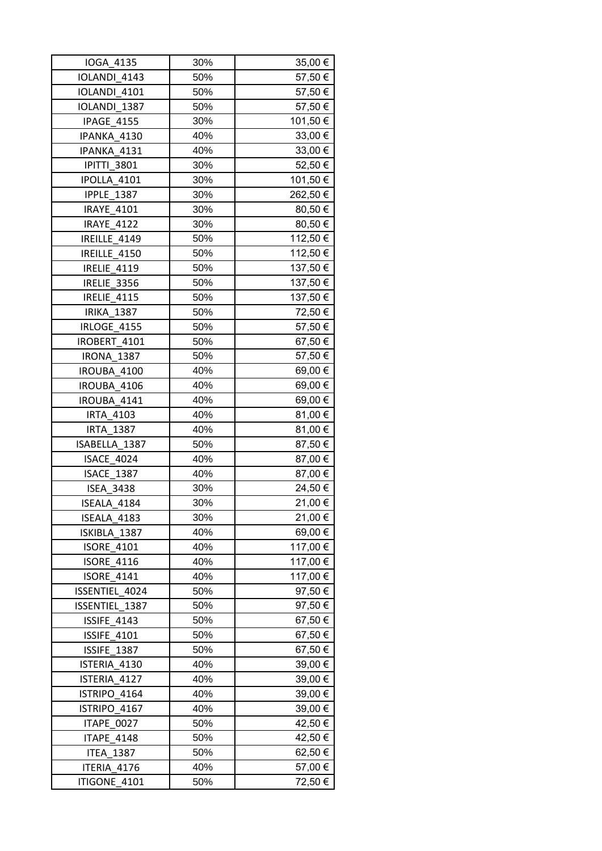| IOGA 4135          | 30% | $35,00 \in  $ |
|--------------------|-----|---------------|
| IOLANDI 4143       | 50% | 57,50€        |
| IOLANDI 4101       | 50% | 57,50€        |
| IOLANDI 1387       | 50% | 57,50€        |
| IPAGE 4155         | 30% | 101,50 €      |
| IPANKA 4130        | 40% | 33,00 €       |
| IPANKA 4131        | 40% | 33,00 €       |
| <b>IPITTI 3801</b> | 30% | 52,50€        |
| IPOLLA 4101        | 30% | 101,50€       |
| <b>IPPLE 1387</b>  | 30% | 262,50 €      |
| <b>IRAYE 4101</b>  | 30% | 80,50 €       |
| <b>IRAYE 4122</b>  | 30% | 80,50€        |
| IREILLE 4149       | 50% | 112,50 €      |
| IREILLE 4150       | 50% | 112,50 €      |
| <b>IRELIE 4119</b> | 50% | 137,50€       |
| IRELIE 3356        | 50% | 137,50 €      |
| IRELIE 4115        | 50% | 137,50€       |
| <b>IRIKA 1387</b>  | 50% | 72,50 €       |
| <b>IRLOGE 4155</b> | 50% | 57,50€        |
| IROBERT_4101       | 50% | 67,50€        |
| <b>IRONA 1387</b>  | 50% | 57,50€        |
| IROUBA 4100        | 40% | 69,00 €       |
| IROUBA 4106        | 40% | 69,00€        |
| IROUBA 4141        | 40% | 69,00 €       |
| <b>IRTA 4103</b>   | 40% | 81,00 €       |
| <b>IRTA 1387</b>   | 40% | 81,00 €       |
| ISABELLA 1387      | 50% | 87,50€        |
| <b>ISACE 4024</b>  | 40% | 87,00 €       |
| ISACE_1387         | 40% | 87,00 €       |
| <b>ISEA 3438</b>   | 30% | 24,50 €       |
| ISEALA 4184        | 30% | 21,00€        |
| ISEALA 4183        | 30% | 21,00 €       |
| ISKIBLA 1387       | 40% | 69,00€        |
| <b>ISORE 4101</b>  | 40% | 117,00€       |
| <b>ISORE 4116</b>  | 40% | 117,00€       |
| <b>ISORE 4141</b>  | 40% | 117,00€       |
| ISSENTIEL 4024     | 50% | 97,50€        |
| ISSENTIEL 1387     | 50% | 97,50€        |
| ISSIFE 4143        | 50% | 67,50 €       |
| ISSIFE 4101        | 50% | 67,50€        |
| ISSIFE 1387        | 50% | 67,50€        |
| ISTERIA 4130       | 40% | 39,00 €       |
| ISTERIA 4127       | 40% | 39,00 €       |
| ISTRIPO 4164       | 40% | 39,00 €       |
| ISTRIPO 4167       | 40% | 39,00 €       |
| ITAPE 0027         | 50% | 42,50 €       |
| <b>ITAPE 4148</b>  | 50% | 42,50 €       |
| <b>ITEA 1387</b>   | 50% | 62,50 €       |
| ITERIA 4176        | 40% | 57,00 €       |
| ITIGONE 4101       | 50% | 72,50 €       |